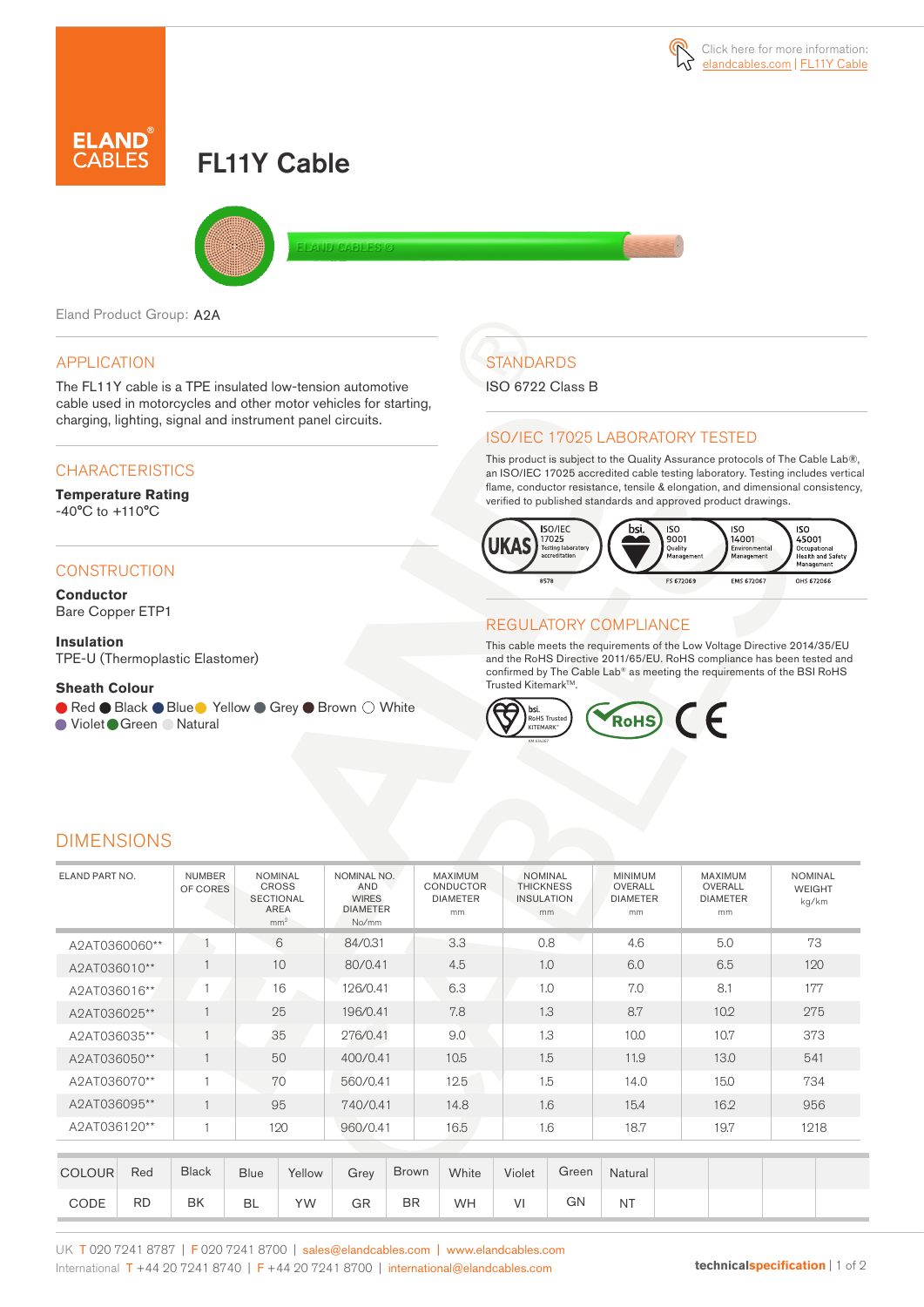# FL11Y Cable



Eland Product Group: A2A

# APPLICATION

The FL11Y cable is a TPE insulated low-tension automotive cable used in motorcycles and other motor vehicles for starting, charging, lighting, signal and instrument panel circuits.

# **CHARACTERISTICS**

#### **Temperature Rating**  -40°C to +110°C

### **CONSTRUCTION**

**Conductor** Bare Copper ETP1

**Insulation** TPE-U (Thermoplastic Elastomer)

### **Sheath Colour**

● Red ● Black ● Blue ● Yellow ● Grey ● Brown ○ White

● Violet Green ● Natural

# **STANDARDS**

ISO 6722 Class B

## ISO/IEC 17025 LABORATORY TESTED

This product is subject to the Quality Assurance protocols of The Cable Lab®, an ISO/IEC 17025 accredited cable testing laboratory. Testing includes vertical flame, conductor resistance, tensile & elongation, and dimensional consistency, verified to published standards and approved product drawings.



# REGULATORY COMPLIANCE

This cable meets the requirements of the Low Voltage Directive 2014/35/EU and the RoHS Directive 2011/65/EU. RoHS compliance has been tested and confirmed by The Cable Lab® as meeting the requirements of the BSI RoHS Trusted Kitemark™.



# DIMENSIONS

| ELAND PART NO.       | <b>NUMBER</b><br>OF CORES | <b>NOMINAL</b><br><b>CROSS</b><br><b>SECTIONAL</b><br><b>AREA</b><br>mm <sup>2</sup> | NOMINAL NO.<br>AND<br><b>WIRES</b><br><b>DIAMETER</b><br>No/mm | MAXIMUM<br><b>CONDUCTOR</b><br><b>DIAMETER</b><br>mm | <b>NOMINAL</b><br><b>THICKNESS</b><br><b>INSULATION</b><br>mm | <b>MINIMUM</b><br>OVERALL<br><b>DIAMETER</b><br>mm | MAXIMUM<br>OVERALL<br><b>DIAMETER</b><br>mm | <b>NOMINAL</b><br><b>WEIGHT</b><br>kg/km |
|----------------------|---------------------------|--------------------------------------------------------------------------------------|----------------------------------------------------------------|------------------------------------------------------|---------------------------------------------------------------|----------------------------------------------------|---------------------------------------------|------------------------------------------|
| A2AT0360060**        |                           | 6                                                                                    | 84/0.31                                                        | 3.3                                                  | 0.8                                                           | 4.6                                                | 5.0                                         | 73                                       |
| A2AT036010**         |                           | 10                                                                                   | 80/0.41                                                        | 4.5                                                  | 1.0                                                           | 6.0                                                | 6.5                                         | 120                                      |
| A2AT036016**         |                           | 16                                                                                   | 126/0.41                                                       | 6.3                                                  | 1.0                                                           | 7.0                                                | 8.1                                         | 177                                      |
| A2AT036025**         |                           | 25                                                                                   | 196/0.41                                                       | 7.8                                                  | 1.3                                                           | 8.7                                                | 10.2                                        | 275                                      |
| A2AT036035**         |                           | 35                                                                                   | 276/0.41                                                       | 9.0                                                  | 1.3                                                           | 10.0                                               | 10.7                                        | 373                                      |
| A2AT036050**         |                           | 50                                                                                   | 400/0.41                                                       | 10.5                                                 | 1.5                                                           | 11.9                                               | 13.0                                        | 541                                      |
| A2AT036070**         |                           | 70                                                                                   | 560/0.41                                                       | 12.5                                                 | 1.5                                                           | 14.0                                               | 15.0                                        | 734                                      |
| A2AT036095**         |                           | 95                                                                                   | 740/0.41                                                       | 14.8                                                 | 1.6                                                           | 15.4                                               | 16.2                                        | 956                                      |
| A2AT036120**         |                           | 120                                                                                  | 960/0.41                                                       | 16.5                                                 | 1.6                                                           | 18.7                                               | 19.7                                        | 1218                                     |
|                      |                           |                                                                                      |                                                                |                                                      |                                                               |                                                    |                                             |                                          |
| Red<br><b>COLOUR</b> | <b>Black</b>              | <b>Blue</b><br>Yellow                                                                | Grey                                                           | <b>Brown</b><br>White                                | Green<br>Violet                                               | Natural                                            |                                             |                                          |

CODE RD BK BL YW GR BR WH VI GN NT